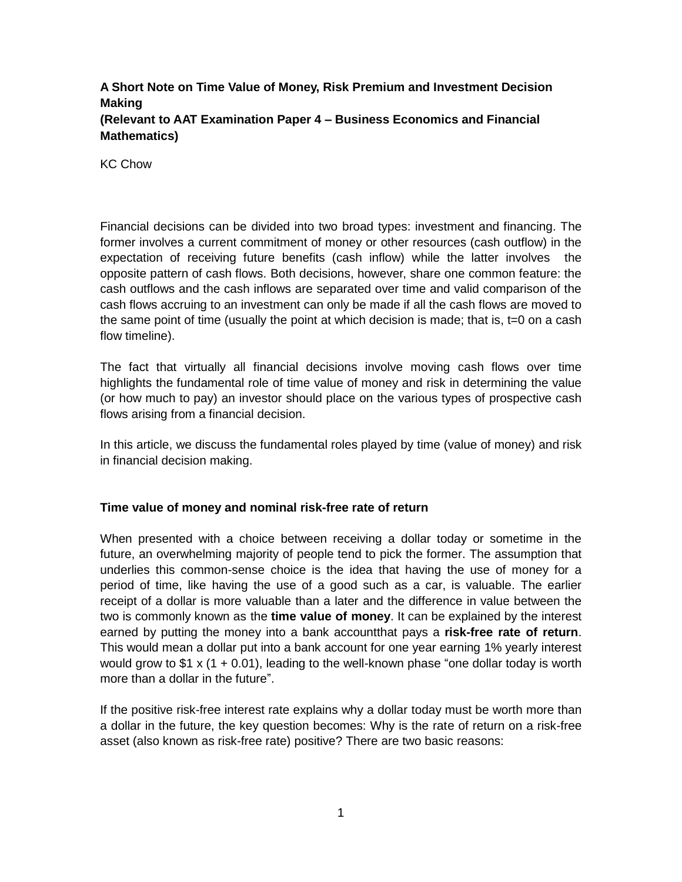# **A Short Note on Time Value of Money, Risk Premium and Investment Decision Making (Relevant to AAT Examination Paper 4 – Business Economics and Financial Mathematics)**

KC Chow

Financial decisions can be divided into two broad types: investment and financing. The former involves a current commitment of money or other resources (cash outflow) in the expectation of receiving future benefits (cash inflow) while the latter involves the opposite pattern of cash flows. Both decisions, however, share one common feature: the cash outflows and the cash inflows are separated over time and valid comparison of the cash flows accruing to an investment can only be made if all the cash flows are moved to the same point of time (usually the point at which decision is made; that is,  $t=0$  on a cash flow timeline).

The fact that virtually all financial decisions involve moving cash flows over time highlights the fundamental role of time value of money and risk in determining the value (or how much to pay) an investor should place on the various types of prospective cash flows arising from a financial decision.

In this article, we discuss the fundamental roles played by time (value of money) and risk in financial decision making.

### **Time value of money and nominal risk-free rate of return**

When presented with a choice between receiving a dollar today or sometime in the future, an overwhelming majority of people tend to pick the former. The assumption that underlies this common-sense choice is the idea that having the use of money for a period of time, like having the use of a good such as a car, is valuable. The earlier receipt of a dollar is more valuable than a later and the difference in value between the two is commonly known as the **time value of money**. It can be explained by the interest earned by putting the money into a bank accountthat pays a **risk-free rate of return**. This would mean a dollar put into a bank account for one year earning 1% yearly interest would grow to  $$1 \times (1 + 0.01)$ , leading to the well-known phase "one dollar today is worth more than a dollar in the future".

If the positive risk-free interest rate explains why a dollar today must be worth more than a dollar in the future, the key question becomes: Why is the rate of return on a risk-free asset (also known as risk-free rate) positive? There are two basic reasons: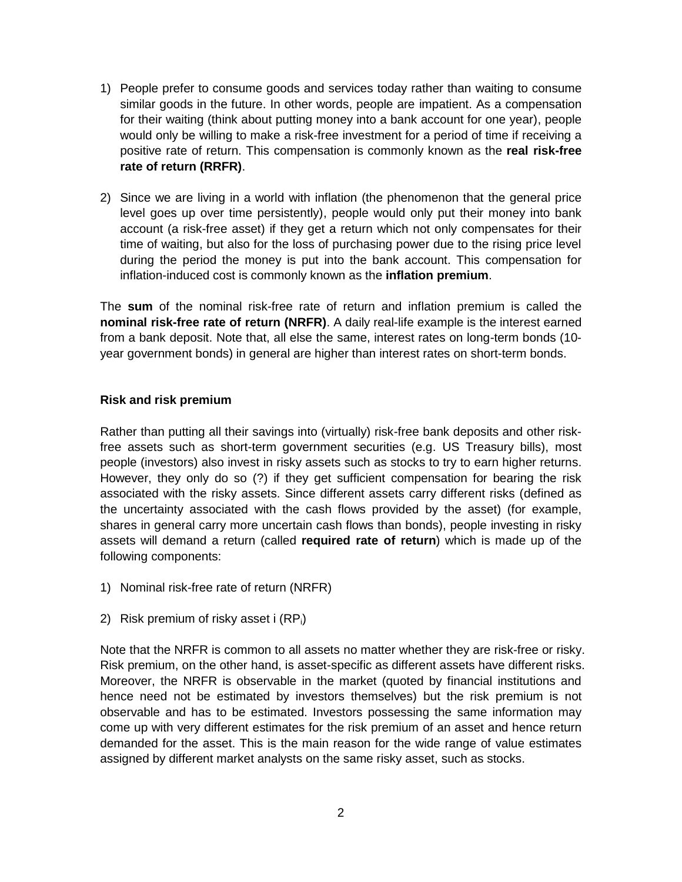- 1) People prefer to consume goods and services today rather than waiting to consume similar goods in the future. In other words, people are impatient. As a compensation for their waiting (think about putting money into a bank account for one year), people would only be willing to make a risk-free investment for a period of time if receiving a positive rate of return. This compensation is commonly known as the **real risk-free rate of return (RRFR)**.
- 2) Since we are living in a world with inflation (the phenomenon that the general price level goes up over time persistently), people would only put their money into bank account (a risk-free asset) if they get a return which not only compensates for their time of waiting, but also for the loss of purchasing power due to the rising price level during the period the money is put into the bank account. This compensation for inflation-induced cost is commonly known as the **inflation premium**.

The **sum** of the nominal risk-free rate of return and inflation premium is called the **nominal risk-free rate of return (NRFR)**. A daily real-life example is the interest earned from a bank deposit. Note that, all else the same, interest rates on long-term bonds (10 year government bonds) in general are higher than interest rates on short-term bonds.

### **Risk and risk premium**

Rather than putting all their savings into (virtually) risk-free bank deposits and other riskfree assets such as short-term government securities (e.g. US Treasury bills), most people (investors) also invest in risky assets such as stocks to try to earn higher returns. However, they only do so (?) if they get sufficient compensation for bearing the risk associated with the risky assets. Since different assets carry different risks (defined as the uncertainty associated with the cash flows provided by the asset) (for example, shares in general carry more uncertain cash flows than bonds), people investing in risky assets will demand a return (called **required rate of return**) which is made up of the following components:

- 1) Nominal risk-free rate of return (NRFR)
- 2) Risk premium of risky asset i  $(RP_i)$

Note that the NRFR is common to all assets no matter whether they are risk-free or risky. Risk premium, on the other hand, is asset-specific as different assets have different risks. Moreover, the NRFR is observable in the market (quoted by financial institutions and hence need not be estimated by investors themselves) but the risk premium is not observable and has to be estimated. Investors possessing the same information may come up with very different estimates for the risk premium of an asset and hence return demanded for the asset. This is the main reason for the wide range of value estimates assigned by different market analysts on the same risky asset, such as stocks.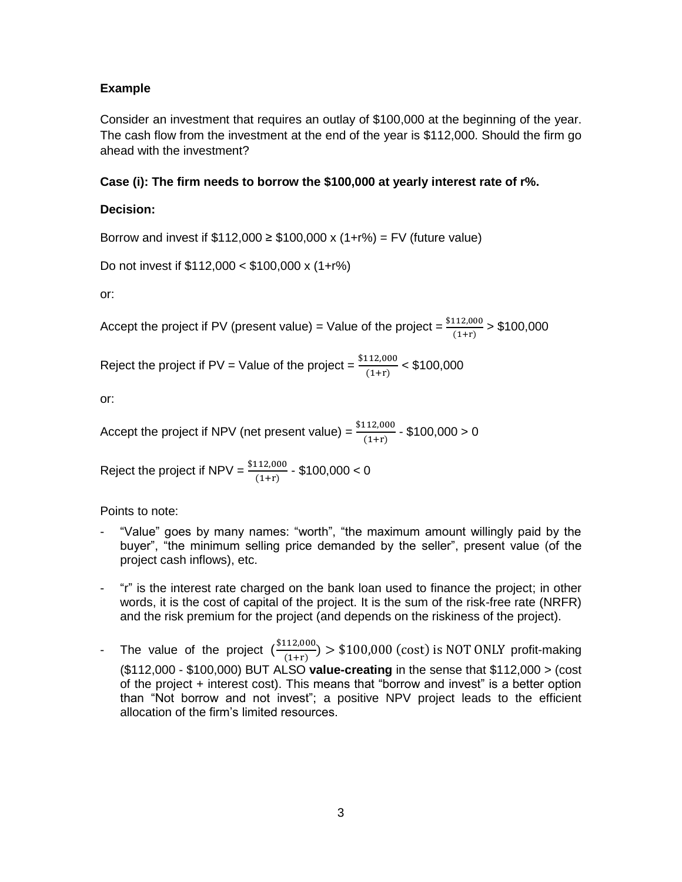## **Example**

Consider an investment that requires an outlay of \$100,000 at the beginning of the year. The cash flow from the investment at the end of the year is \$112,000. Should the firm go ahead with the investment?

# **Case (i): The firm needs to borrow the \$100,000 at yearly interest rate of r%.**

## **Decision:**

Borrow and invest if  $$112,000 \ge $100,000 \times (1+r\%) = FV$  (future value)

```
Do not invest if $112,000 < $100,000 x (1+r%)
```
or:

Accept the project if PV (present value) = Value of the project =  $\frac{$112,000}{$(1+r)}$  > \$100,000

Reject the project if PV = Value of the project =  $\frac{$112,000}{$(1+r)}$  < \$100,000

or:

Accept the project if NPV (net present value) =  $\frac{\$}$  $\frac{(112,000)}{(1+r)}$  - \$100,000 > 0

Reject the project if NPV =  $\frac{$112,000}{$1+r)}$  - \$100,000 < 0

Points to note:

- "Value" goes by many names: "worth", "the maximum amount willingly paid by the buyer", "the minimum selling price demanded by the seller", present value (of the project cash inflows), etc.
- "r" is the interest rate charged on the bank loan used to finance the project; in other words, it is the cost of capital of the project. It is the sum of the risk-free rate (NRFR) and the risk premium for the project (and depends on the riskiness of the project).
- The value of the project  $(\frac{\$}{\phantom{a}})$  $\frac{(12,000)}{(1+r)}$  > \$100,000 (cost) is NOT ONLY profit-making (\$112,000 - \$100,000) BUT ALSO **value-creating** in the sense that \$112,000 > (cost of the project + interest cost). This means that "borrow and invest" is a better option than "Not borrow and not invest"; a positive NPV project leads to the efficient allocation of the firm's limited resources.